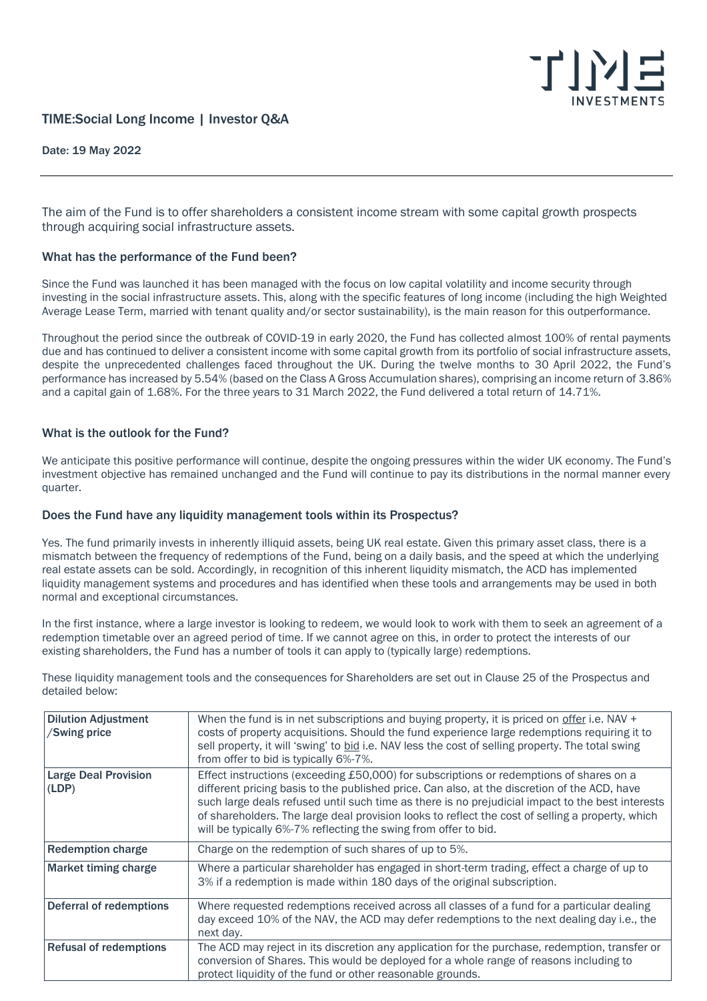

# TIME:Social Long Income | Investor Q&A

Date: 19 May 2022

The aim of the Fund is to offer shareholders a consistent income stream with some capital growth prospects through acquiring social infrastructure assets.

### What has the performance of the Fund been?

Since the Fund was launched it has been managed with the focus on low capital volatility and income security through investing in the social infrastructure assets. This, along with the specific features of long income (including the high Weighted Average Lease Term, married with tenant quality and/or sector sustainability), is the main reason for this outperformance.

Throughout the period since the outbreak of COVID-19 in early 2020, the Fund has collected almost 100% of rental payments due and has continued to deliver a consistent income with some capital growth from its portfolio of social infrastructure assets, despite the unprecedented challenges faced throughout the UK. During the twelve months to 30 April 2022, the Fund's performance has increased by 5.54% (based on the Class A Gross Accumulation shares), comprising an income return of 3.86% and a capital gain of 1.68%. For the three years to 31 March 2022, the Fund delivered a total return of 14.71%.

### What is the outlook for the Fund?

We anticipate this positive performance will continue, despite the ongoing pressures within the wider UK economy. The Fund's investment objective has remained unchanged and the Fund will continue to pay its distributions in the normal manner every quarter.

### Does the Fund have any liquidity management tools within its Prospectus?

Yes. The fund primarily invests in inherently illiquid assets, being UK real estate. Given this primary asset class, there is a mismatch between the frequency of redemptions of the Fund, being on a daily basis, and the speed at which the underlying real estate assets can be sold. Accordingly, in recognition of this inherent liquidity mismatch, the ACD has implemented liquidity management systems and procedures and has identified when these tools and arrangements may be used in both normal and exceptional circumstances.

In the first instance, where a large investor is looking to redeem, we would look to work with them to seek an agreement of a redemption timetable over an agreed period of time. If we cannot agree on this, in order to protect the interests of our existing shareholders, the Fund has a number of tools it can apply to (typically large) redemptions.

Dilution Adjustment /Swing price When the fund is in net subscriptions and buying property, it is priced on offer i.e. NAV + costs of property acquisitions. Should the fund experience large redemptions requiring it to sell property, it will 'swing' to bid i.e. NAV less the cost of selling property. The total swing from offer to bid is typically 6%-7%. Large Deal Provision (LDP) Effect instructions (exceeding £50,000) for subscriptions or redemptions of shares on a different pricing basis to the published price. Can also, at the discretion of the ACD, have such large deals refused until such time as there is no prejudicial impact to the best interests of shareholders. The large deal provision looks to reflect the cost of selling a property, which will be typically 6%-7% reflecting the swing from offer to bid. Redemption charge **Charge 1** Charge on the redemption of such shares of up to 5%. Market timing charge Where a particular shareholder has engaged in short-term trading, effect a charge of up to 3% if a redemption is made within 180 days of the original subscription. Deferral of redemptions Where requested redemptions received across all classes of a fund for a particular dealing day exceed 10% of the NAV, the ACD may defer redemptions to the next dealing day i.e., the next day. Refusal of redemptions The ACD may reject in its discretion any application for the purchase, redemption, transfer or conversion of Shares. This would be deployed for a whole range of reasons including to protect liquidity of the fund or other reasonable grounds.

These liquidity management tools and the consequences for Shareholders are set out in Clause 25 of the Prospectus and detailed below: